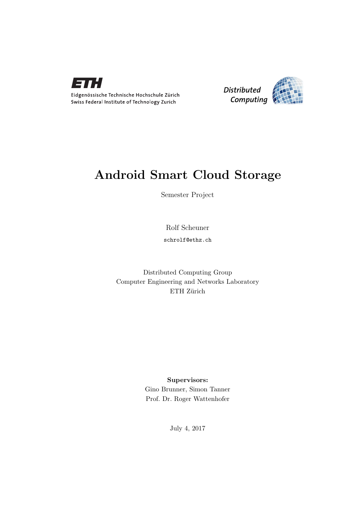



### Android Smart Cloud Storage

Semester Project

Rolf Scheuner

schrolf@ethz.ch

Distributed Computing Group Computer Engineering and Networks Laboratory ETH Zürich

#### Supervisors:

Gino Brunner, Simon Tanner Prof. Dr. Roger Wattenhofer

July 4, 2017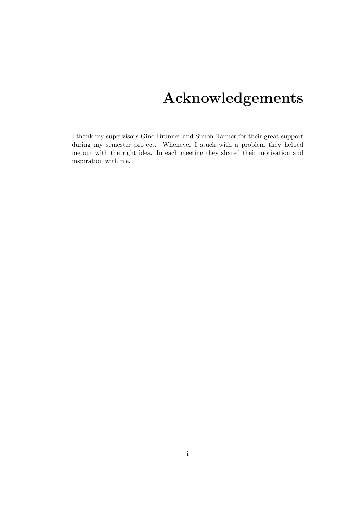# Acknowledgements

<span id="page-1-0"></span>I thank my supervisors Gino Brunner and Simon Tanner for their great support during my semester project. Whenever I stuck with a problem they helped me out with the right idea. In each meeting they shared their motivation and inspiration with me.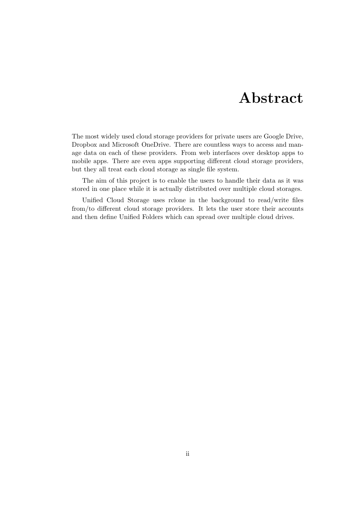## Abstract

<span id="page-2-0"></span>The most widely used cloud storage providers for private users are Google Drive, Dropbox and Microsoft OneDrive. There are countless ways to access and manage data on each of these providers. From web interfaces over desktop apps to mobile apps. There are even apps supporting different cloud storage providers, but they all treat each cloud storage as single file system.

The aim of this project is to enable the users to handle their data as it was stored in one place while it is actually distributed over multiple cloud storages.

Unified Cloud Storage uses rclone in the background to read/write files from/to different cloud storage providers. It lets the user store their accounts and then define Unified Folders which can spread over multiple cloud drives.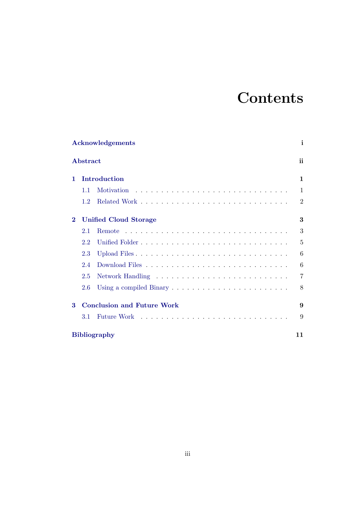# **Contents**

|          |                           | Acknowledgements                  | i              |  |  |  |  |  |  |
|----------|---------------------------|-----------------------------------|----------------|--|--|--|--|--|--|
|          | Abstract                  |                                   | ii             |  |  |  |  |  |  |
| 1.       |                           | Introduction                      | 1              |  |  |  |  |  |  |
|          | 1.1                       |                                   | 1              |  |  |  |  |  |  |
|          | 1.2                       |                                   | $\overline{2}$ |  |  |  |  |  |  |
| $\bf{2}$ |                           | <b>Unified Cloud Storage</b>      | 3              |  |  |  |  |  |  |
|          | 2.1                       | <b>Remote</b>                     | 3              |  |  |  |  |  |  |
|          | 2.2                       |                                   | 5              |  |  |  |  |  |  |
|          | 2.3                       |                                   | 6              |  |  |  |  |  |  |
|          | 2.4                       |                                   | 6              |  |  |  |  |  |  |
|          | 2.5                       |                                   | $\overline{7}$ |  |  |  |  |  |  |
|          | 2.6                       |                                   | 8              |  |  |  |  |  |  |
| $\bf{3}$ |                           | <b>Conclusion and Future Work</b> | 9              |  |  |  |  |  |  |
|          | 3.1                       |                                   | 9              |  |  |  |  |  |  |
|          | <b>Bibliography</b><br>11 |                                   |                |  |  |  |  |  |  |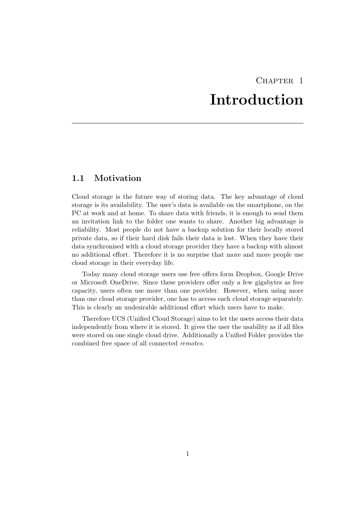## CHAPTER<sub>1</sub> Introduction

#### <span id="page-4-1"></span><span id="page-4-0"></span>1.1 Motivation

Cloud storage is the future way of storing data. The key advantage of cloud storage is its availability. The user's data is available on the smartphone, on the PC at work and at home. To share data with friends, it is enough to send them an invitation link to the folder one wants to share. Another big advantage is reliability. Most people do not have a backup solution for their locally stored private data, so if their hard disk fails their data is lost. When they have their data synchronised with a cloud storage provider they have a backup with almost no additional effort. Therefore it is no surprise that more and more people use cloud storage in their everyday life.

Today many cloud storage users use free offers form Dropbox, Google Drive or Microsoft OneDrive. Since these providers offer only a few gigabytes as free capacity, users often use more than one provider. However, when using more than one cloud storage provider, one has to access each cloud storage separately. This is clearly an undesirable additional effort which users have to make.

Therefore UCS (Unified Cloud Storage) aims to let the users access their data independently from where it is stored. It gives the user the usability as if all files were stored on one single cloud drive. Additionally a Unified Folder provides the combined free space of all connected remotes.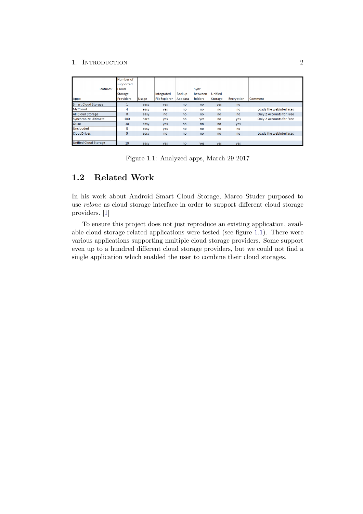#### 1. INTRODUCTION 2

|                              | Number of        |       |              |         |         |         |            |                          |
|------------------------------|------------------|-------|--------------|---------|---------|---------|------------|--------------------------|
|                              | supported        |       |              |         |         |         |            |                          |
| Features:                    | Cloud            |       |              |         | Sync    |         |            |                          |
|                              | Storage          |       | Integrated   | Backup  | between | Unified |            |                          |
| Apps:                        | <b>Providers</b> | Usage | FileExplorer | Appdata | folders | Storage | Encryption | Comment                  |
| <b>Smart Cloud Storage</b>   |                  | easy  | yes          | no      | no      | yes     | no         |                          |
| MyCLoud                      | 4                | easy  | yes          | no      | no      | no      | no         | Loads the webinterfaces  |
| <b>All Cloud Storage</b>     | 8                | easy  | no           | no      | no      | no      | no         | Only 2 Accounts for Free |
| Synchronize Ultimate         | 100              | hard  | yes          | no      | yes     | no      | yes        | Only 2 Accounts for Free |
| Otixo                        | 30               | easy  | <b>ves</b>   | no      | no      | no      | <b>ves</b> |                          |
| <b>Unclouded</b>             | 5                | easy  | yes          | no      | no      | no      | no         |                          |
| <b>CloudDrives</b>           | 5                | easy  | no           | no      | no      | no      | no         | Loads the webinterfaces  |
|                              |                  |       |              |         |         |         |            |                          |
| <b>Unified Cloud Storage</b> | 10               | easy  | <b>ves</b>   | no      | yes     | yes     | yes        |                          |

<span id="page-5-1"></span>Figure 1.1: Analyzed apps, March 29 2017

### <span id="page-5-0"></span>1.2 Related Work

In his work about Android Smart Cloud Storage, Marco Studer purposed to use rclone as cloud storage interface in order to support different cloud storage providers. [\[1\]](#page-14-1)

To ensure this project does not just reproduce an existing application, available cloud storage related applications were tested (see figure [1.1\)](#page-5-1). There were various applications supporting multiple cloud storage providers. Some support even up to a hundred different cloud storage providers, but we could not find a single application which enabled the user to combine their cloud storages.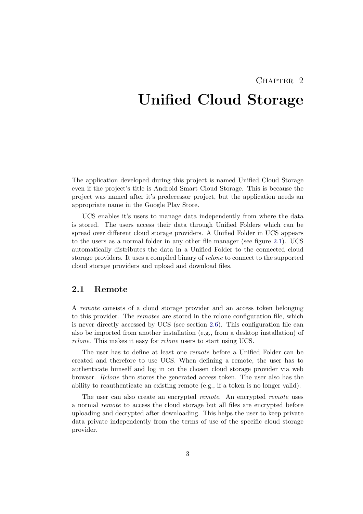### CHAPTER<sub>2</sub>

## <span id="page-6-0"></span>Unified Cloud Storage

The application developed during this project is named Unified Cloud Storage even if the project's title is Android Smart Cloud Storage. This is because the project was named after it's predecessor project, but the application needs an appropriate name in the Google Play Store.

UCS enables it's users to manage data independently from where the data is stored. The users access their data through Unified Folders which can be spread over different cloud storage providers. A Unified Folder in UCS appears to the users as a normal folder in any other file manager (see figure [2.1\)](#page-7-0). UCS automatically distributes the data in a Unified Folder to the connected cloud storage providers. It uses a compiled binary of rclone to connect to the supported cloud storage providers and upload and download files.

#### <span id="page-6-1"></span>2.1 Remote

A remote consists of a cloud storage provider and an access token belonging to this provider. The remotes are stored in the rclone configuration file, which is never directly accessed by UCS (see section [2.6\)](#page-11-0). This configuration file can also be imported from another installation (e.g., from a desktop installation) of rclone. This makes it easy for *rclone* users to start using UCS.

The user has to define at least one remote before a Unified Folder can be created and therefore to use UCS. When defining a remote, the user has to authenticate himself and log in on the chosen cloud storage provider via web browser. Rclone then stores the generated access token. The user also has the ability to reauthenticate an existing remote (e.g., if a token is no longer valid).

The user can also create an encrypted *remote*. An encrypted *remote* uses a normal remote to access the cloud storage but all files are encrypted before uploading and decrypted after downloading. This helps the user to keep private data private independently from the terms of use of the specific cloud storage provider.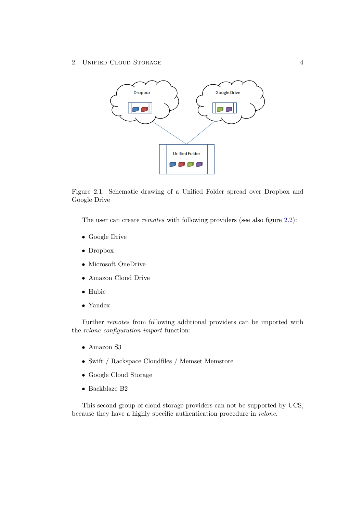2. UNIFIED CLOUD STORAGE 4



<span id="page-7-0"></span>Figure 2.1: Schematic drawing of a Unified Folder spread over Dropbox and Google Drive

The user can create *remotes* with following providers (see also figure [2.2\)](#page-8-1):

- Google Drive
- Dropbox
- Microsoft OneDrive
- Amazon Cloud Drive
- Hubic
- Yandex

Further remotes from following additional providers can be imported with the rclone configuration import function:

- Amazon S3
- Swift / Rackspace Cloudfiles / Memset Memstore
- Google Cloud Storage
- Backblaze B2

This second group of cloud storage providers can not be supported by UCS, because they have a highly specific authentication procedure in rclone.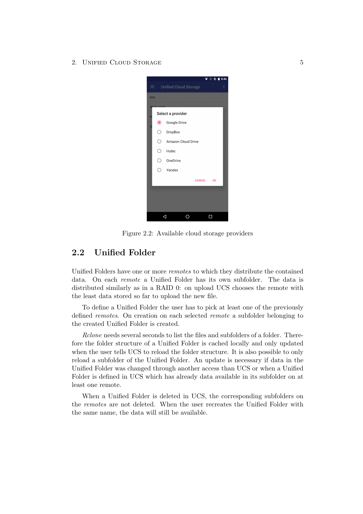2. UNIFIED CLOUD STORAGE 5



Figure 2.2: Available cloud storage providers

#### <span id="page-8-1"></span><span id="page-8-0"></span>2.2 Unified Folder

Unified Folders have one or more remotes to which they distribute the contained data. On each remote a Unified Folder has its own subfolder. The data is distributed similarly as in a RAID 0: on upload UCS chooses the remote with the least data stored so far to upload the new file.

To define a Unified Folder the user has to pick at least one of the previously defined remotes. On creation on each selected remote a subfolder belonging to the created Unified Folder is created.

Rclone needs several seconds to list the files and subfolders of a folder. Therefore the folder structure of a Unified Folder is cached locally and only updated when the user tells UCS to reload the folder structure. It is also possible to only reload a subfolder of the Unified Folder. An update is necessary if data in the Unified Folder was changed through another access than UCS or when a Unified Folder is defined in UCS which has already data available in its subfolder on at least one remote.

When a Unified Folder is deleted in UCS, the corresponding subfolders on the remotes are not deleted. When the user recreates the Unified Folder with the same name, the data will still be available.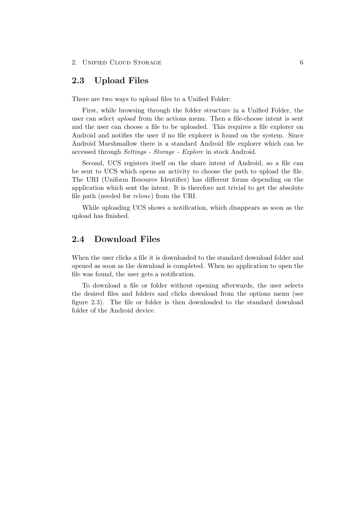#### <span id="page-9-0"></span>2.3 Upload Files

There are two ways to upload files to a Unified Folder:

First, while browsing through the folder structure in a Unified Folder, the user can select upload from the actions menu. Then a file-choose intent is sent and the user can choose a file to be uploaded. This requires a file explorer on Android and notifies the user if no file explorer is found on the system. Since Android Marshmallow there is a standard Android file explorer which can be accessed through Settings - Storage - Explore in stock Android.

Second, UCS registers itself on the share intent of Android, so a file can be sent to UCS which opens an activity to choose the path to upload the file. The URI (Uniform Resource Identifier) has different forms depending on the application which sent the intent. It is therefore not trivial to get the absolute file path (needed for rclone) from the URI.

While uploading UCS shows a notification, which disappears as soon as the upload has finished.

### <span id="page-9-1"></span>2.4 Download Files

When the user clicks a file it is downloaded to the standard download folder and opened as soon as the download is completed. When no application to open the file was found, the user gets a notification.

To download a file or folder without opening afterwards, the user selects the desired files and folders and clicks download from the options menu (see figure [2.3\)](#page-10-1). The file or folder is then downloaded to the standard download folder of the Android device.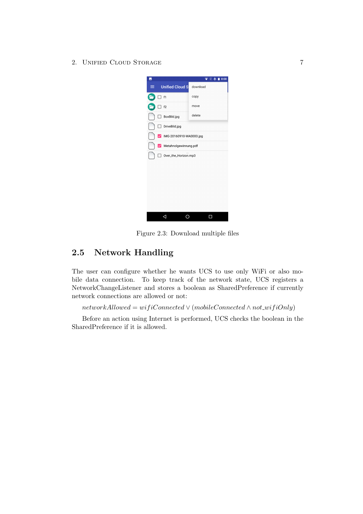2. UNIFIED CLOUD STORAGE 7

| ⋤ |                         | $\sqrt{+18.08}$ |  |  |  |  |  |  |
|---|-------------------------|-----------------|--|--|--|--|--|--|
| ≡ | <b>Unified Cloud S</b>  | download        |  |  |  |  |  |  |
|   | $\exists$ f1            | copy            |  |  |  |  |  |  |
|   | f2                      | move            |  |  |  |  |  |  |
|   | BoxBild.jpg             | delete          |  |  |  |  |  |  |
|   | DriveBild.jpg           |                 |  |  |  |  |  |  |
|   | IMG-20160910-WA0003.jpg |                 |  |  |  |  |  |  |
| ☑ | Metahnolgewinnung.pdf   |                 |  |  |  |  |  |  |
|   | Over_the_Horizon.mp3    |                 |  |  |  |  |  |  |
|   |                         |                 |  |  |  |  |  |  |
|   |                         |                 |  |  |  |  |  |  |
|   |                         |                 |  |  |  |  |  |  |
|   |                         |                 |  |  |  |  |  |  |
|   |                         |                 |  |  |  |  |  |  |
|   |                         |                 |  |  |  |  |  |  |
|   |                         |                 |  |  |  |  |  |  |

<span id="page-10-1"></span>Figure 2.3: Download multiple files

### <span id="page-10-0"></span>2.5 Network Handling

The user can configure whether he wants UCS to use only WiFi or also mobile data connection. To keep track of the network state, UCS registers a NetworkChangeListener and stores a boolean as SharedPreference if currently network connections are allowed or not:

 $networkAllowed = wifeConnected \vee (mobileConnected \wedge not\_wifiOnly)$ 

Before an action using Internet is performed, UCS checks the boolean in the SharedPreference if it is allowed.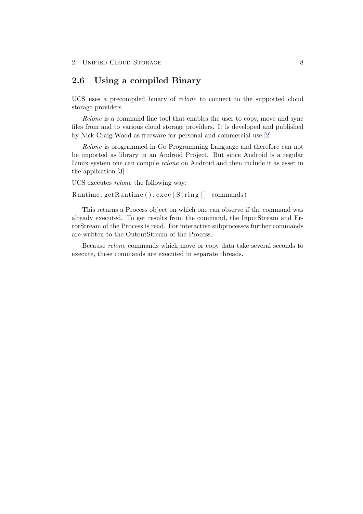### <span id="page-11-0"></span>2.6 Using a compiled Binary

UCS uses a precompiled binary of rclone to connect to the supported cloud storage providers.

Rclone is a command line tool that enables the user to copy, move and sync files from and to various cloud storage providers. It is developed and published by Nick Craig-Wood as freeware for personal and commercial use.[\[2\]](#page-14-2)

Rclone is programmed in Go Programming Language and therefore can not be imported as library in an Android Project. But since Android is a regular Linux system one can compile rclone on Android and then include it as asset in the application.[\[3\]](#page-14-3)

UCS executes rclone the following way:

Runtime.getRuntime ().exec (String [] commands)

This returns a Process object on which one can observe if the command was already executed. To get results from the command, the InputStream and ErrorStream of the Process is read. For interactive subprocesses further commands are written to the OutoutStream of the Process.

Because rclone commands which move or copy data take several seconds to execute, these commands are executed in separate threads.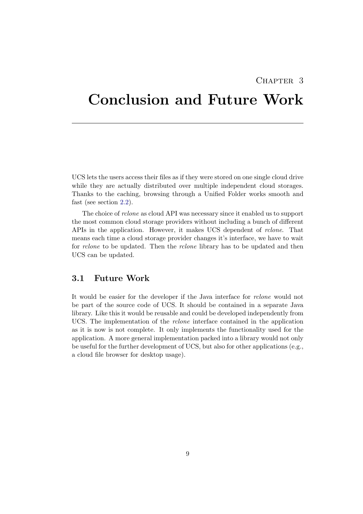### CHAPTER<sub>3</sub>

## <span id="page-12-0"></span>Conclusion and Future Work

UCS lets the users access their files as if they were stored on one single cloud drive while they are actually distributed over multiple independent cloud storages. Thanks to the caching, browsing through a Unified Folder works smooth and fast (see section [2.2\)](#page-8-0).

The choice of rclone as cloud API was necessary since it enabled us to support the most common cloud storage providers without including a bunch of different APIs in the application. However, it makes UCS dependent of rclone. That means each time a cloud storage provider changes it's interface, we have to wait for rclone to be updated. Then the rclone library has to be updated and then UCS can be updated.

### <span id="page-12-1"></span>3.1 Future Work

It would be easier for the developer if the Java interface for rclone would not be part of the source code of UCS. It should be contained in a separate Java library. Like this it would be reusable and could be developed independently from UCS. The implementation of the rclone interface contained in the application as it is now is not complete. It only implements the functionality used for the application. A more general implementation packed into a library would not only be useful for the further development of UCS, but also for other applications (e.g., a cloud file browser for desktop usage).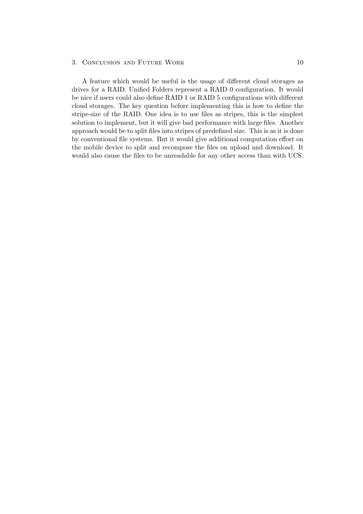#### 3. CONCLUSION AND FUTURE WORK 10

A feature which would be useful is the usage of different cloud storages as drives for a RAID. Unified Folders represent a RAID 0 configuration. It would be nice if users could also define RAID 1 or RAID 5 configurations with different cloud storages. The key question before implementing this is how to define the stripe-size of the RAID. One idea is to use files as stripes, this is the simplest solution to implement, but it will give bad performance with large files. Another approach would be to split files into stripes of predefined size. This is as it is done by conventional file systems. But it would give additional computation effort on the mobile device to split and recompose the files on upload and download. It would also cause the files to be unreadable for any other access than with UCS.